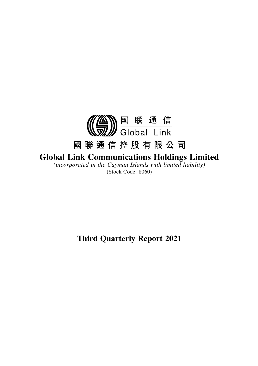

# **Global Link Communications Holdings Limited**

*(incorporated in the Cayman Islands with limited liability)* (Stock Code: 8060)

**Third Quarterly Report 2021**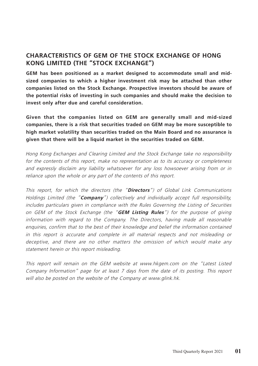### **CHARACTERISTICS OF GEM OF THE STOCK EXCHANGE OF HONG KONG LIMITED (THE "STOCK EXCHANGE")**

**GEM has been positioned as a market designed to accommodate small and midsized companies to which a higher investment risk may be attached than other companies listed on the Stock Exchange. Prospective investors should be aware of the potential risks of investing in such companies and should make the decision to invest only after due and careful consideration.**

**Given that the companies listed on GEM are generally small and mid-sized companies, there is a risk that securities traded on GEM may be more susceptible to high market volatility than securities traded on the Main Board and no assurance is given that there will be a liquid market in the securities traded on GEM.**

Hong Kong Exchanges and Clearing Limited and the Stock Exchange take no responsibility for the contents of this report, make no representation as to its accuracy or completeness and expressly disclaim any liability whatsoever for any loss howsoever arising from or in reliance upon the whole or any part of the contents of this report.

This report, for which the directors (the "**Directors**") of Global Link Communications Holdings Limited (the "**Company**") collectively and individually accept full responsibility, includes particulars given in compliance with the Rules Governing the Listing of Securities on GEM of the Stock Exchange (the "**GEM Listing Rules**") for the purpose of giving information with regard to the Company. The Directors, having made all reasonable enquiries, confirm that to the best of their knowledge and belief the information contained in this report is accurate and complete in all material respects and not misleading or deceptive, and there are no other matters the omission of which would make any statement herein or this report misleading.

This report will remain on the GEM website at www.hkgem.com on the "Latest Listed Company Information" page for at least 7 days from the date of its posting. This report will also be posted on the website of the Company at www.glink.hk.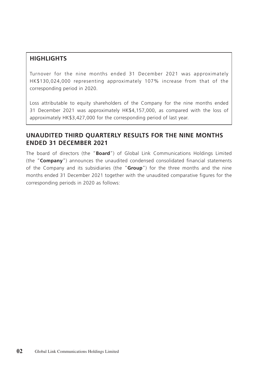### **HIGHLIGHTS**

Turnover for the nine months ended 31 December 2021 was approximately HK\$130,024,000 representing approximately 107% increase from that of the corresponding period in 2020.

Loss attributable to equity shareholders of the Company for the nine months ended 31 December 2021 was approximately HK\$4,157,000, as compared with the loss of approximately HK\$3,427,000 for the corresponding period of last year.

### **UNAUDITED THIRD QUARTERLY RESULTS FOR THE NINE MONTHS ENDED 31 DECEMBER 2021**

The board of directors (the "**Board**") of Global Link Communications Holdings Limited (the "**Company**") announces the unaudited condensed consolidated financial statements of the Company and its subsidiaries (the "**Group**") for the three months and the nine months ended 31 December 2021 together with the unaudited comparative figures for the corresponding periods in 2020 as follows: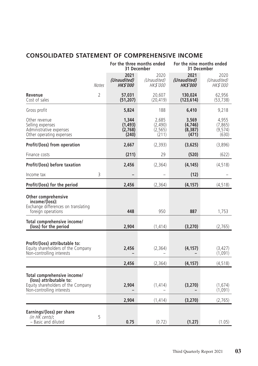# **CONSOLIDATED STATEMENT OF COMPREHENSIVE INCOME**

|                                                                                                                           |                | For the three months ended<br>31 December |                                        | For the nine months ended<br>31 December |                                        |
|---------------------------------------------------------------------------------------------------------------------------|----------------|-------------------------------------------|----------------------------------------|------------------------------------------|----------------------------------------|
|                                                                                                                           | <b>Notes</b>   | 2021<br>(Unaudited)<br><b>HK\$'000</b>    | 2020<br>(Unaudited)<br><i>HK\$'000</i> | 2021<br>(Unaudited)<br><b>HK\$'000</b>   | 2020<br>(Unaudited)<br><i>HK\$'000</i> |
| Revenue<br>Cost of sales                                                                                                  | $\overline{2}$ | 57,031<br>(51, 207)                       | 20,607<br>(20, 419)                    | 130.024<br>(123,614)                     | 62,956<br>(53, 738)                    |
| Gross profit                                                                                                              |                | 5,824                                     | 188                                    | 6,410                                    | 9,218                                  |
| Other revenue<br>Selling expenses<br>Administrative expenses<br>Other operating expenses                                  |                | 1,344<br>(1,493)<br>(2,768)<br>(240)      | 2,685<br>(2,490)<br>(2, 565)<br>(211)  | 3,569<br>(4,746)<br>(8,387)<br>(471)     | 4,955<br>(7, 865)<br>(9, 574)<br>(630) |
| Profit/(loss) from operation                                                                                              |                | 2,667                                     | (2, 393)                               | (3,625)                                  | (3,896)                                |
| Finance costs                                                                                                             |                | (211)                                     | 29                                     | (520)                                    | (622)                                  |
| Profit/(loss) before taxation                                                                                             |                | 2,456                                     | (2, 364)                               | (4, 145)                                 | (4, 518)                               |
| Income tax                                                                                                                | 3              |                                           |                                        | (12)                                     |                                        |
| Profit/(loss) for the period                                                                                              |                | 2,456                                     | (2, 364)                               | (4, 157)                                 | (4, 518)                               |
| <b>Other comprehensive</b><br>income/(loss):<br>Exchange differences on translating<br>foreign operations                 |                | 448                                       | 950                                    | 887                                      | 1,753                                  |
| Total comprehensive income/<br>(loss) for the period                                                                      |                | 2,904                                     | (1, 414)                               | (3, 270)                                 | (2,765)                                |
| Profit/(loss) attributable to:<br>Equity shareholders of the Company<br>Non-controlling interests                         |                | 2,456                                     | (2, 364)                               | (4, 157)                                 | (3, 427)<br>(1,091)                    |
|                                                                                                                           |                | 2,456                                     | (2, 364)                               | (4, 157)                                 | (4, 518)                               |
| Total comprehensive income/<br>(loss) attributable to:<br>Equity shareholders of the Company<br>Non-controlling interests |                | 2,904                                     | (1, 414)                               | (3, 270)                                 | (1,674)<br>(1,091)                     |
|                                                                                                                           |                | 2,904                                     | (1, 414)                               | (3, 270)                                 | (2,765)                                |
| Earnings/(loss) per share<br>(in HK cents):<br>- Basic and diluted                                                        | 5              | 0.75                                      | (0.72)                                 | (1.27)                                   | (1.05)                                 |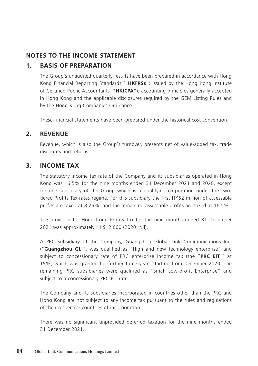### **NOTES TO THE INCOME STATEMENT**

### **1. BASIS OF PREPARATION**

The Group's unaudited quarterly results have been prepared in accordance with Hong Kong Financial Reporting Standards ("**HKFRSs**") issued by the Hong Kong Institute of Certified Public Accountants ("**HKICPA**"), accounting principles generally accepted in Hong Kong and the applicable disclosures required by the GEM Listing Rules and by the Hong Kong Companies Ordinance.

These financial statements have been prepared under the historical cost convention.

### **2. REVENUE**

Revenue, which is also the Group's turnover, presents net of value-added tax, trade discounts and returns.

### **3. INCOME TAX**

The statutory income tax rate of the Company and its subsidiaries operated in Hong Kong was 16.5% for the nine months ended 31 December 2021 and 2020, except for one subsidiary of the Group which is a qualifying corporation under the twotiered Profits Tax rates regime. For this subsidiary the first HK\$2 million of assessable profits are taxed at 8.25%, and the remaining assessable profits are taxed at 16.5%.

The provision for Hong Kong Profits Tax for the nine months ended 31 December 2021 was approximately HK\$12,000 (2020: Nil).

A PRC subsidiary of the Company, Guangzhou Global Link Communications Inc. ("**Guangzhou GL**"), was qualified as "High and new technology enterprise" and subject to concessionary rate of PRC enterprise income tax (the "**PRC EIT**") at 15%, which was granted for further three years starting from December 2020. The remaining PRC subsidiaries were qualified as "Small Low-profit Enterprise" and subject to a concessionary PRC EIT rate.

The Company and its subsidiaries incorporated in countries other than the PRC and Hong Kong are not subject to any income tax pursuant to the rules and regulations of their respective countries of incorporation.

There was no significant unprovided deferred taxation for the nine months ended 31 December 2021.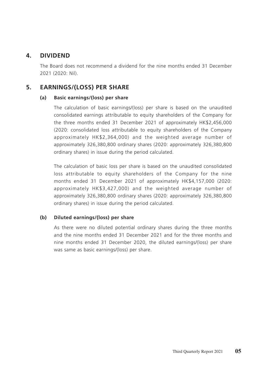### **4. DIVIDEND**

The Board does not recommend a dividend for the nine months ended 31 December 2021 (2020: Nil).

### **5. EARNINGS/(LOSS) PER SHARE**

#### **(a) Basic earnings/(loss) per share**

The calculation of basic earnings/(loss) per share is based on the unaudited consolidated earnings attributable to equity shareholders of the Company for the three months ended 31 December 2021 of approximately HK\$2,456,000 (2020: consolidated loss attributable to equity shareholders of the Company approximately HK\$2,364,000) and the weighted average number of approximately 326,380,800 ordinary shares (2020: approximately 326,380,800 ordinary shares) in issue during the period calculated.

The calculation of basic loss per share is based on the unaudited consolidated loss attributable to equity shareholders of the Company for the nine months ended 31 December 2021 of approximately HK\$4,157,000 (2020: approximately HK\$3,427,000) and the weighted average number of approximately 326,380,800 ordinary shares (2020: approximately 326,380,800 ordinary shares) in issue during the period calculated.

#### **(b) Diluted earnings/(loss) per share**

As there were no diluted potential ordinary shares during the three months and the nine months ended 31 December 2021 and for the three months and nine months ended 31 December 2020, the diluted earnings/(loss) per share was same as basic earnings/(loss) per share.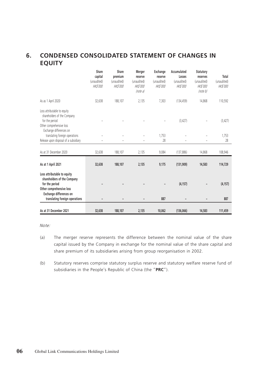# **6. CONDENSED CONSOLIDATED STATEMENT OF CHANGES IN EQUITY**

|                                                                                                                                     | Share<br>capital<br>(unaudited)<br><b>HK\$'000</b> | Share<br>premium<br>(unaudited)<br><b>HK\$'000</b> | Merger<br>reserve<br>(unaudited)<br><b>HK\$'000</b><br>(note a) | Exchange<br>reserve<br>(unaudited)<br><b>HK\$'000</b> | Accumulated<br>Losses<br>(unaudited)<br><b>HK\$'000</b> | Statutory<br>reserves<br>(unaudited)<br><b>HK\$'000</b><br>(note b) | Total<br>(unaudited)<br><b>HK\$'000</b> |
|-------------------------------------------------------------------------------------------------------------------------------------|----------------------------------------------------|----------------------------------------------------|-----------------------------------------------------------------|-------------------------------------------------------|---------------------------------------------------------|---------------------------------------------------------------------|-----------------------------------------|
| As as 1 April 2020                                                                                                                  | 32,638                                             | 188,107                                            | 2,135                                                           | 7.303                                                 | (134, 459)                                              | 14,868                                                              | 110,592                                 |
| Loss attributable to equity<br>shareholders of the Company<br>for the period<br>Other comprehensive loss<br>Exchange differences on |                                                    |                                                    |                                                                 |                                                       | (3, 427)                                                |                                                                     | (3, 427)                                |
| translating foreign operations                                                                                                      |                                                    | ÷                                                  |                                                                 | 1.753                                                 |                                                         |                                                                     | 1,753                                   |
| Release upon disposal of a subsidiary                                                                                               |                                                    |                                                    |                                                                 | 28                                                    |                                                         |                                                                     | 28                                      |
| As at 31 December 2020                                                                                                              | 32,638                                             | 188,107                                            | 2,135                                                           | 9,084                                                 | (137, 886)                                              | 14,868                                                              | 108,946                                 |
| As at 1 April 2021                                                                                                                  | 32,638                                             | 188,107                                            | 2.135                                                           | 9,175                                                 | (131, 909)                                              | 14,583                                                              | 114,729                                 |
| Loss attributable to equity<br>shareholders of the Company<br>for the period<br>Other comprehensive loss<br>Exchange differences on |                                                    |                                                    |                                                                 |                                                       | (4, 157)                                                |                                                                     | (4, 157)                                |
| translating foreign operations                                                                                                      |                                                    |                                                    |                                                                 | 887                                                   |                                                         |                                                                     | 887                                     |
| As at 31 December 2021                                                                                                              | 32,638                                             | 188,107                                            | 2,135                                                           | 10,062                                                | (136,066)                                               | 14,583                                                              | 111,459                                 |

Note:

- (a) The merger reserve represents the difference between the nominal value of the share capital issued by the Company in exchange for the nominal value of the share capital and share premium of its subsidiaries arising from group reorganisation in 2002.
- (b) Statutory reserves comprise statutory surplus reserve and statutory welfare reserve fund of subsidiaries in the People's Republic of China (the "**PRC**").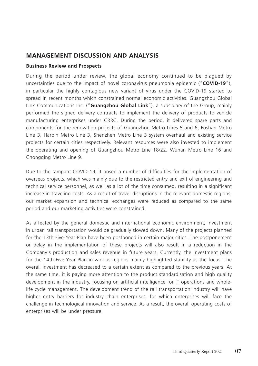### **MANAGEMENT DISCUSSION AND ANALYSIS**

#### **Business Review and Prospects**

During the period under review, the global economy continued to be plagued by uncertainties due to the impact of novel coronavirus pneumonia epidemic ("**COVID-19**"), in particular the highly contagious new variant of virus under the COVID-19 started to spread in recent months which constrained normal economic activities. Guangzhou Global Link Communications Inc. ("**Guangzhou Global Link**"), a subsidiary of the Group, mainly performed the signed delivery contracts to implement the delivery of products to vehicle manufacturing enterprises under CRRC. During the period, it delivered spare parts and components for the renovation projects of Guangzhou Metro Lines 5 and 6, Foshan Metro Line 3, Harbin Metro Line 3, Shenzhen Metro Line 3 system overhaul and existing service projects for certain cities respectively. Relevant resources were also invested to implement the operating and opening of Guangzhou Metro Line 18/22, Wuhan Metro Line 16 and Chongqing Metro Line 9.

Due to the rampant COVID-19, it posed a number of difficulties for the implementation of overseas projects, which was mainly due to the restricted entry and exit of engineering and technical service personnel, as well as a lot of the time consumed, resulting in a significant increase in traveling costs. As a result of travel disruptions in the relevant domestic regions, our market expansion and technical exchanges were reduced as compared to the same period and our marketing activities were constrained.

As affected by the general domestic and international economic environment, investment in urban rail transportation would be gradually slowed down. Many of the projects planned for the 13th Five-Year Plan have been postponed in certain major cities. The postponement or delay in the implementation of these projects will also result in a reduction in the Company's production and sales revenue in future years. Currently, the investment plans for the 14th Five-Year Plan in various regions mainly highlighted stability as the focus. The overall investment has decreased to a certain extent as compared to the previous years. At the same time, it is paying more attention to the product standardisation and high quality development in the industry, focusing on artificial intelligence for IT operations and wholelife cycle management. The development trend of the rail transportation industry will have higher entry barriers for industry chain enterprises, for which enterprises will face the challenge in technological innovation and service. As a result, the overall operating costs of enterprises will be under pressure.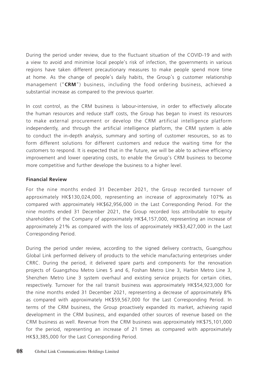During the period under review, due to the fluctuant situation of the COVID-19 and with a view to avoid and minimise local people's risk of infection, the governments in various regions have taken different precautionary measures to make people spend more time at home. As the change of people's daily habits, the Group's g customer relationship management ("**CRM**") business, including the food ordering business, achieved a substantial increase as compared to the previous quarter.

In cost control, as the CRM business is labour-intensive, in order to effectively allocate the human resources and reduce staff costs, the Group has began to invest its resources to make external procurement or develop the CRM artificial intelligence platform independently, and through the artificial intelligence platform, the CRM system is able to conduct the in-depth analysis, summary and sorting of customer resources, so as to form different solutions for different customers and reduce the waiting time for the customers to respond. It is expected that in the future, we will be able to achieve efficiency improvement and lower operating costs, to enable the Group's CRM business to become more competitive and further develope the business to a higher level.

#### **Financial Review**

For the nine months ended 31 December 2021, the Group recorded turnover of approximately HK\$130,024,000, representing an increase of approximately 107% as compared with approximately HK\$62,956,000 in the Last Corresponding Period. For the nine months ended 31 December 2021, the Group recorded loss attributable to equity shareholders of the Company of approximately HK\$4,157,000, representing an increase of approximately 21% as compared with the loss of approximately HK\$3,427,000 in the Last Corresponding Period.

During the period under review, according to the signed delivery contracts, Guangzhou Global Link performed delivery of products to the vehicle manufacturing enterprises under CRRC. During the period, it delivered spare parts and components for the renovation projects of Guangzhou Metro Lines 5 and 6, Foshan Metro Line 3, Harbin Metro Line 3, Shenzhen Metro Line 3 system overhaul and existing service projects for certain cities, respectively. Turnover for the rail transit business was approximately HK\$54,923,000 for the nine months ended 31 December 2021, representing a decrease of approximately 8% as compared with approximately HK\$59,567,000 for the Last Corresponding Period. In terms of the CRM business, the Group proactively expanded its market, achieving rapid development in the CRM business, and expanded other sources of revenue based on the CRM business as well. Revenue from the CRM business was approximately HK\$75,101,000 for the period, representing an increase of 21 times as compared with approximately HK\$3,385,000 for the Last Corresponding Period.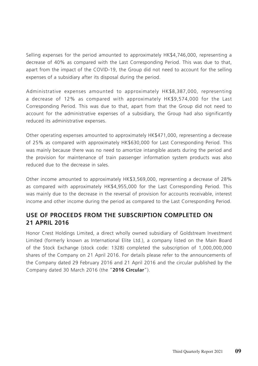Selling expenses for the period amounted to approximately HK\$4,746,000, representing a decrease of 40% as compared with the Last Corresponding Period. This was due to that, apart from the impact of the COVID-19, the Group did not need to account for the selling expenses of a subsidiary after its disposal during the period.

Administrative expenses amounted to approximately HK\$8,387,000, representing a decrease of 12% as compared with approximately HK\$9,574,000 for the Last Corresponding Period. This was due to that, apart from that the Group did not need to account for the administrative expenses of a subsidiary, the Group had also significantly reduced its administrative expenses.

Other operating expenses amounted to approximately HK\$471,000, representing a decrease of 25% as compared with approximately HK\$630,000 for Last Corresponding Period. This was mainly because there was no need to amortize intangible assets during the period and the provision for maintenance of train passenger information system products was also reduced due to the decrease in sales.

Other income amounted to approximately HK\$3,569,000, representing a decrease of 28% as compared with approximately HK\$4,955,000 for the Last Corresponding Period. This was mainly due to the decrease in the reversal of provision for accounts receivable, interest income and other income during the period as compared to the Last Corresponding Period.

### **USE OF PROCEEDS FROM THE SUBSCRIPTION COMPLETED ON 21 APRIL 2016**

Honor Crest Holdings Limited, a direct wholly owned subsidiary of Goldstream Investment Limited (formerly known as International Elite Ltd.), a company listed on the Main Board of the Stock Exchange (stock code: 1328) completed the subscription of 1,000,000,000 shares of the Company on 21 April 2016. For details please refer to the announcements of the Company dated 29 February 2016 and 21 April 2016 and the circular published by the Company dated 30 March 2016 (the "**2016 Circular**").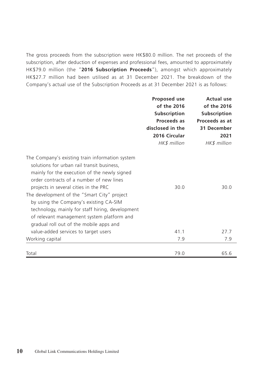The gross proceeds from the subscription were HK\$80.0 million. The net proceeds of the subscription, after deduction of expenses and professional fees, amounted to approximately HK\$79.0 million (the "**2016 Subscription Proceeds**"), amongst which approximately HK\$27.7 million had been utilised as at 31 December 2021. The breakdown of the Company's actual use of the Subscription Proceeds as at 31 December 2021 is as follows:

|                                                                                                                                                                                                                                                                                                                                                                                                                                                                          | Proposed use<br>of the 2016<br>Subscription<br>Proceeds as<br>disclosed in the<br>2016 Circular<br>HK\$ million | <b>Actual use</b><br>of the 2016<br><b>Subscription</b><br>Proceeds as at<br>31 December<br>2021<br>HK\$ million |
|--------------------------------------------------------------------------------------------------------------------------------------------------------------------------------------------------------------------------------------------------------------------------------------------------------------------------------------------------------------------------------------------------------------------------------------------------------------------------|-----------------------------------------------------------------------------------------------------------------|------------------------------------------------------------------------------------------------------------------|
| The Company's existing train information system<br>solutions for urban rail transit business,<br>mainly for the execution of the newly signed<br>order contracts of a number of new lines<br>projects in several cities in the PRC<br>The development of the "Smart City" project<br>by using the Company's existing CA-SIM<br>technology, mainly for staff hiring, development<br>of relevant management system platform and<br>gradual roll out of the mobile apps and | 30.0                                                                                                            | 30.0                                                                                                             |
| value-added services to target users                                                                                                                                                                                                                                                                                                                                                                                                                                     | 41.1                                                                                                            | 27.7                                                                                                             |
| Working capital                                                                                                                                                                                                                                                                                                                                                                                                                                                          | 7.9                                                                                                             | 7.9                                                                                                              |
| Total                                                                                                                                                                                                                                                                                                                                                                                                                                                                    | 79.0                                                                                                            | 65.6                                                                                                             |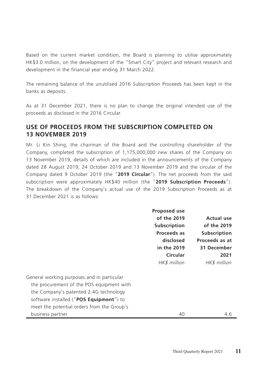Based on the current market condition, the Board is planning to utilise approximately HK\$3.0 million, on the development of the "Smart City" project and relevant research and development in the financial year ending 31 March 2022.

The remaining balance of the unutilised 2016 Subscription Proceeds has been kept in the banks as deposits.

As at 31 December 2021, there is no plan to change the original intended use of the proceeds as disclosed in the 2016 Circular.

### **USE OF PROCEEDS FROM THE SUBSCRIPTION COMPLETED ON 13 NOVEMBER 2019**

Mr. Li Kin Shing, the chairman of the Board and the controlling shareholder of the Company, completed the subscription of 1,175,000,000 new shares of the Company on 13 November 2019, details of which are included in the announcements of the Company dated 28 August 2019, 24 October 2019 and 13 November 2019 and the circular of the Company dated 9 October 2019 (the "**2019 Circular**"). The net proceeds from the said subscription were approximately HK\$40 million (the "**2019 Subscription Proceeds**"). The breakdown of the Company's actual use of the 2019 Subscription Proceeds as at 31 December 2021 is as follows:

|                                            | <b>Proposed use</b> |                |
|--------------------------------------------|---------------------|----------------|
|                                            | of the 2019         | Actual use     |
|                                            | Subscription        | of the 2019    |
|                                            | Proceeds as         | Subscription   |
|                                            | disclosed           | Proceeds as at |
|                                            | in the 2019         | 31 December    |
|                                            | Circular            | 2021           |
|                                            | HK\$ million        | HK\$ million   |
| General working purposes and in particular |                     |                |
| the procurement of the POS equipment with  |                     |                |
| the Company's patented 2.4G technology     |                     |                |
| software installed ("POS Equipment") to    |                     |                |
| meet the potential orders from the Group's |                     |                |
| business partner                           | 40                  | 4.6            |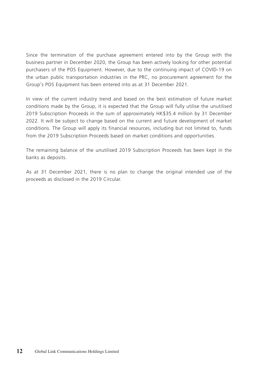Since the termination of the purchase agreement entered into by the Group with the business partner in December 2020, the Group has been actively looking for other potential purchasers of the POS Equipment. However, due to the continuing impact of COVID-19 on the urban public transportation industries in the PRC, no procurement agreement for the Group's POS Equipment has been entered into as at 31 December 2021.

In view of the current industry trend and based on the best estimation of future market conditions made by the Group, it is expected that the Group will fully utilise the unutilised 2019 Subscription Proceeds in the sum of approximately HK\$35.4 million by 31 December 2022. It will be subject to change based on the current and future development of market conditions. The Group will apply its financial resources, including but not limited to, funds from the 2019 Subscription Proceeds based on market conditions and opportunities.

The remaining balance of the unutilised 2019 Subscription Proceeds has been kept in the banks as deposits.

As at 31 December 2021, there is no plan to change the original intended use of the proceeds as disclosed in the 2019 Circular.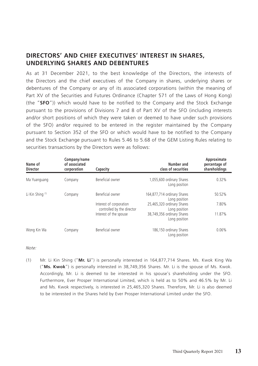### **DIRECTORS' AND CHIEF EXECUTIVES' INTEREST IN SHARES, UNDERLYING SHARES AND DEBENTURES**

As at 31 December 2021, to the best knowledge of the Directors, the interests of the Directors and the chief executives of the Company in shares, underlying shares or debentures of the Company or any of its associated corporations (within the meaning of Part XV of the Securities and Futures Ordinance (Chapter 571 of the Laws of Hong Kong) (the "**SFO**")) which would have to be notified to the Company and the Stock Exchange pursuant to the provisions of Divisions 7 and 8 of Part XV of the SFO (including interests and/or short positions of which they were taken or deemed to have under such provisions of the SFO) and/or required to be entered in the register maintained by the Company pursuant to Section 352 of the SFO or which would have to be notified to the Company and the Stock Exchange pursuant to Rules 5.46 to 5.68 of the GEM Listing Rules relating to securities transactions by the Directors were as follows:

| Name of<br><b>Director</b>  | Company/name<br>of associated<br>corporation | Capacity                                              | Number and<br>class of securities            | Approximate<br>percentage of<br>shareholdings |
|-----------------------------|----------------------------------------------|-------------------------------------------------------|----------------------------------------------|-----------------------------------------------|
| Ma Yuanguang                | Company                                      | Beneficial owner                                      | 1,055,600 ordinary Shares<br>Long position   | 0.32%                                         |
| Li Kin Shing <sup>(1)</sup> | Company                                      | Beneficial owner                                      | 164,877,714 ordinary Shares<br>Long position | 50.52%                                        |
|                             |                                              | Interest of corporation<br>controlled by the director | 25,465,320 ordinary Shares<br>Long position  | 7.80%                                         |
|                             |                                              | Interest of the spouse                                | 38,749,356 ordinary Shares<br>Long position  | 11.87%                                        |
| Wong Kin Wa                 | Company                                      | Beneficial owner                                      | 186,150 ordinary Shares<br>Long position     | 0.06%                                         |

Note:

(1) Mr. Li Kin Shing ("**Mr. Li**") is personally interested in 164,877,714 Shares. Ms. Kwok King Wa ("**Ms. Kwok**") is personally interested in 38,749,356 Shares. Mr. Li is the spouse of Ms. Kwok. Accordingly, Mr. Li is deemed to be interested in his spouse's shareholding under the SFO. Furthermore, Ever Prosper International Limited, which is held as to 50% and 46.5% by Mr. Li and Ms. Kwok respectively, is interested in 25,465,320 Shares. Therefore, Mr. Li is also deemed to be interested in the Shares held by Ever Prosper International Limited under the SFO.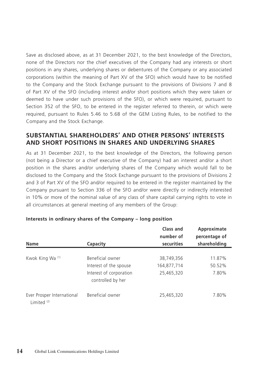Save as disclosed above, as at 31 December 2021, to the best knowledge of the Directors, none of the Directors nor the chief executives of the Company had any interests or short positions in any shares, underlying shares or debentures of the Company or any associated corporations (within the meaning of Part XV of the SFO) which would have to be notified to the Company and the Stock Exchange pursuant to the provisions of Divisions 7 and 8 of Part XV of the SFO (including interest and/or short positions which they were taken or deemed to have under such provisions of the SFO), or which were required, pursuant to Section 352 of the SFO, to be entered in the register referred to therein, or which were required, pursuant to Rules 5.46 to 5.68 of the GEM Listing Rules, to be notified to the Company and the Stock Exchange.

### **SUBSTANTIAL SHAREHOLDERS' AND OTHER PERSONS' INTERESTS AND SHORT POSITIONS IN SHARES AND UNDERLYING SHARES**

As at 31 December 2021, to the best knowledge of the Directors, the following person (not being a Director or a chief executive of the Company) had an interest and/or a short position in the shares and/or underlying shares of the Company which would fall to be disclosed to the Company and the Stock Exchange pursuant to the provisions of Divisions 2 and 3 of Part XV of the SFO and/or required to be entered in the register maintained by the Company pursuant to Section 336 of the SFO and/or were directly or indirectly interested in 10% or more of the nominal value of any class of share capital carrying rights to vote in all circumstances at general meeting of any members of the Group:

| <b>Name</b>                                          | Capacity                                                                                   | Class and<br>number of<br>securities    | Approximate<br>percentage of<br>shareholding |
|------------------------------------------------------|--------------------------------------------------------------------------------------------|-----------------------------------------|----------------------------------------------|
| Kwok King Wa (1)                                     | Beneficial owner<br>Interest of the spouse<br>Interest of corporation<br>controlled by her | 38,749,356<br>164,877,714<br>25,465,320 | 11.87%<br>50.52%<br>7.80%                    |
| Ever Prosper International<br>Limited <sup>(2)</sup> | Beneficial owner                                                                           | 25,465,320                              | 7.80%                                        |

#### **Interests in ordinary shares of the Company – long position**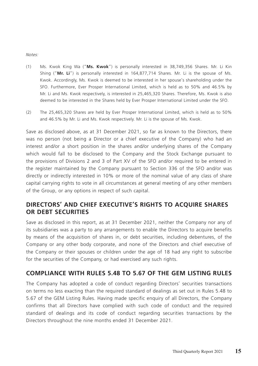Notes:

- (1) Ms. Kwok King Wa ("**Ms. Kwok**") is personally interested in 38,749,356 Shares. Mr. Li Kin Shing ("**Mr. Li**") is personally interested in 164,877,714 Shares. Mr. Li is the spouse of Ms. Kwok. Accordingly, Ms. Kwok is deemed to be interested in her spouse's shareholding under the SFO. Furthermore, Ever Prosper International Limited, which is held as to 50% and 46.5% by Mr. Li and Ms. Kwok respectively, is interested in 25,465,320 Shares. Therefore, Ms. Kwok is also deemed to be interested in the Shares held by Ever Prosper International Limited under the SFO.
- (2) The 25,465,320 Shares are held by Ever Prosper International Limited, which is held as to 50% and 46.5% by Mr. Li and Ms. Kwok respectively. Mr. Li is the spouse of Ms. Kwok.

Save as disclosed above, as at 31 December 2021, so far as known to the Directors, there was no person (not being a Director or a chief executive of the Company) who had an interest and/or a short position in the shares and/or underlying shares of the Company which would fall to be disclosed to the Company and the Stock Exchange pursuant to the provisions of Divisions 2 and 3 of Part XV of the SFO and/or required to be entered in the register maintained by the Company pursuant to Section 336 of the SFO and/or was directly or indirectly interested in 10% or more of the nominal value of any class of share capital carrying rights to vote in all circumstances at general meeting of any other members of the Group, or any options in respect of such capital.

### **DIRECTORS' AND CHIEF EXECUTIVE'S RIGHTS TO ACQUIRE SHARES OR DEBT SECURITIES**

Save as disclosed in this report, as at 31 December 2021, neither the Company nor any of its subsidiaries was a party to any arrangements to enable the Directors to acquire benefits by means of the acquisition of shares in, or debt securities, including debentures, of the Company or any other body corporate, and none of the Directors and chief executive of the Company or their spouses or children under the age of 18 had any right to subscribe for the securities of the Company, or had exercised any such rights.

### **COMPLIANCE WITH RULES 5.48 TO 5.67 OF THE GEM LISTING RULES**

The Company has adopted a code of conduct regarding Directors' securities transactions on terms no less exacting than the required standard of dealings as set out in Rules 5.48 to 5.67 of the GEM Listing Rules. Having made specific enquiry of all Directors, the Company confirms that all Directors have complied with such code of conduct and the required standard of dealings and its code of conduct regarding securities transactions by the Directors throughout the nine months ended 31 December 2021.